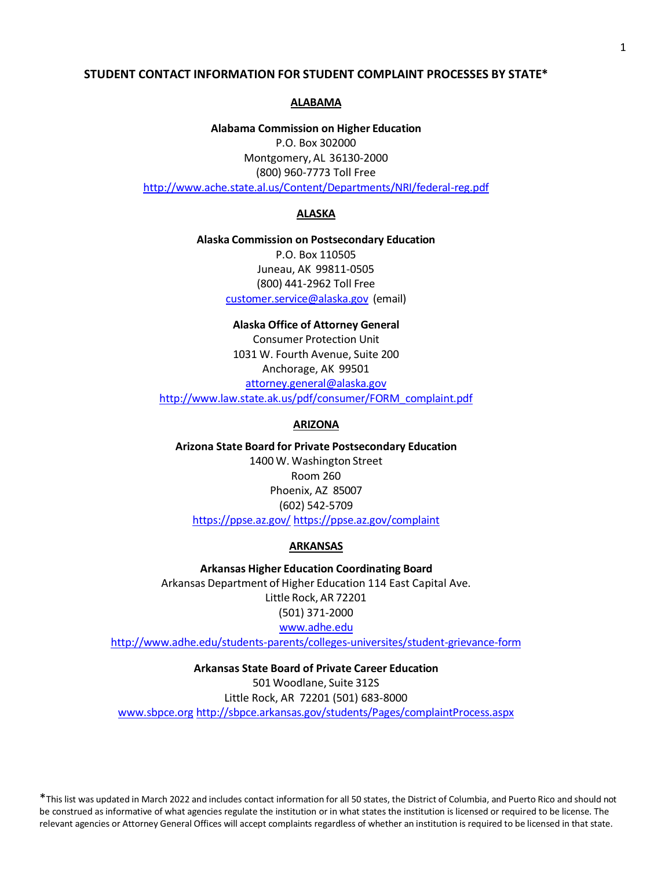# **STUDENT CONTACT INFORMATION FOR STUDENT COMPLAINT PROCESSES BY STATE\***

### **ALABAMA**

**Alabama Commission on Higher Education**

P.O. Box 302000 Montgomery, AL 36130-2000 (800) 960-7773 Toll Free <http://www.ache.state.al.us/Content/Departments/NRI/federal-reg.pdf>

#### **ALASKA**

**Alaska Commission on Postsecondary Education** P.O. Box 110505 Juneau, AK 99811-0505 (800) 441-2962 Toll Free [customer.service@alaska.gov](mailto:customer.service@alaska.gov) (email)

**Alaska Office of Attorney General** Consumer Protection Unit 1031 W. Fourth Avenue, Suite 200 Anchorage, AK 99501 [attorney.general@alaska.gov](mailto:attorney.general@alaska.gov) [http://www.law.state.ak.us/pdf/consumer/FORM\\_complaint.pdf](http://www.law.state.ak.us/pdf/consumer/FORM_complaint.pdf)

#### **ARIZONA**

**Arizona State Board for Private Postsecondary Education** 1400 W. Washington Street Room 260 Phoenix, AZ 85007 (602) 542-5709 <https://ppse.az.gov/> <https://ppse.az.gov/complaint>

#### **ARKANSAS**

**Arkansas Higher Education Coordinating Board** Arkansas Department of Higher Education 114 East Capital Ave. Little Rock, AR 72201 (501) 371-2000 [www.adhe.edu](http://www.adhe.edu/)

<http://www.adhe.edu/students-parents/colleges-universites/student-grievance-form>

# **Arkansas State Board of Private Career Education**

501 Woodlane, Suite 312S Little Rock, AR 72201 (501) 683-8000 [www.sbpce.org](http://www.sbpce.org/) <http://sbpce.arkansas.gov/students/Pages/complaintProcess.aspx>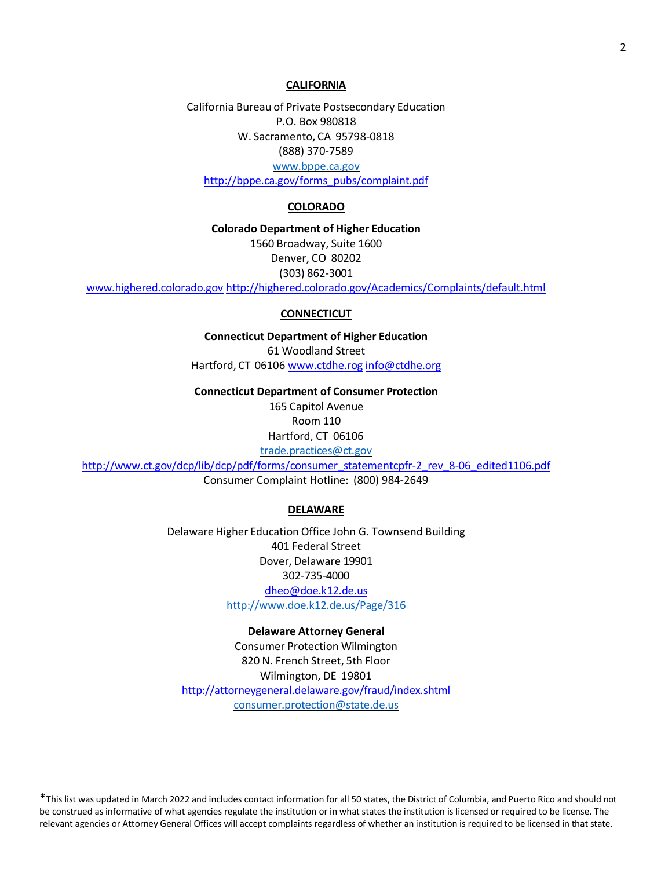### **CALIFORNIA**

California Bureau of Private Postsecondary Education P.O. Box 980818 W. Sacramento, CA 95798-0818 (888) 370-7589 [www.bppe.ca.gov](http://www.bppe.ca.gov/) [http://bppe.ca.gov/forms\\_pubs/complaint.pdf](http://bppe.ca.gov/forms_pubs/complaint.pdf)

# **COLORADO**

**Colorado Department of Higher Education** 1560 Broadway, Suite 1600 Denver, CO 80202 (303) 862-3001 [www.highered.colorado.gov](http://www.highered.colorado.gov/) <http://highered.colorado.gov/Academics/Complaints/default.html>

# **CONNECTICUT**

**Connecticut Department of Higher Education** 61 Woodland Street Hartford, CT 0610[6 www.ctdhe.rog](http://www.ctdhe.rog/) [info@ctdhe.org](mailto:info@ctdhe.org)

**Connecticut Department of Consumer Protection**

165 Capitol Avenue Room 110 Hartford, CT 06106 [trade.practices@ct.gov](mailto:trade.practices@ct.gov)

[http://www.ct.gov/dcp/lib/dcp/pdf/forms/consumer\\_statementcpfr-2\\_rev\\_8-06\\_edited1106.pdf](http://www.ct.gov/dcp/lib/dcp/pdf/forms/consumer_statementcpfr-2_rev_8-06_edited1106.pdf) Consumer Complaint Hotline: (800) 984-2649

#### **DELAWARE**

Delaware Higher Education Office John G. Townsend Building 401 Federal Street Dover, Delaware 19901 302-735-4000 [dheo@doe.k12.de.us](mailto:dheo@doe.k12.de.us) <http://www.doe.k12.de.us/Page/316>

#### **Delaware Attorney General**

Consumer Protection Wilmington 820 N. French Street, 5th Floor Wilmington, DE 19801 <http://attorneygeneral.delaware.gov/fraud/index.shtml> [consumer.protection@state.de.us](mailto:consumer.protection@state.de.us)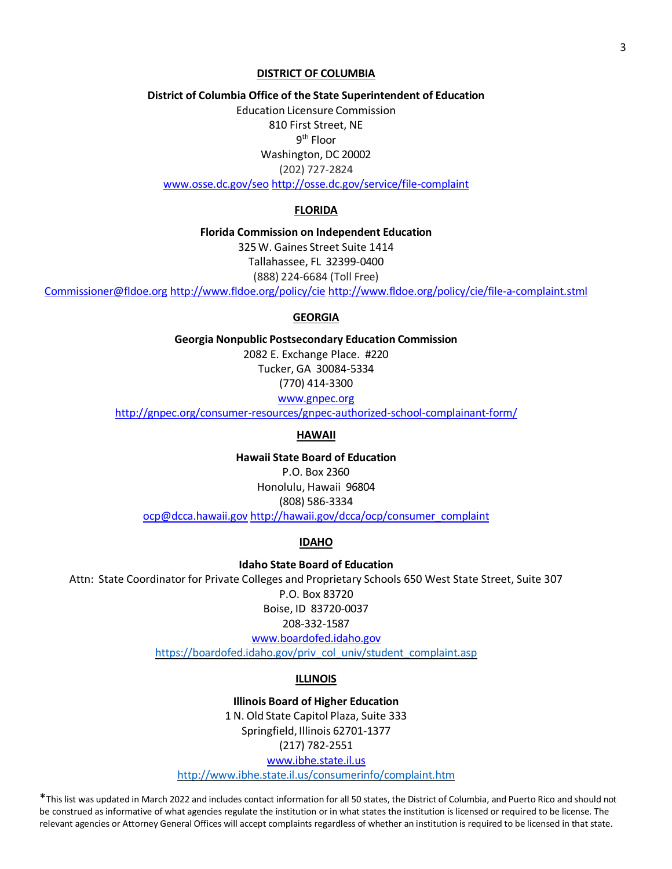### **DISTRICT OF COLUMBIA**

**District of Columbia Office of the State Superintendent of Education**

Education Licensure Commission 810 First Street, NE 9<sup>th</sup> Floor Washington, DC 20002 (202) 727-2824 [www.osse.dc.gov/seo](http://www.osse.dc.gov/seo) <http://osse.dc.gov/service/file-complaint>

# **FLORIDA**

**Florida Commission on Independent Education**

325W. Gaines Street Suite 1414 Tallahassee, FL 32399-0400

(888) 224-6684 (Toll Free)

[Commissioner@fldoe.org](mailto:Commissioner@fldoe.org) <http://www.fldoe.org/policy/cie> <http://www.fldoe.org/policy/cie/file-a-complaint.stml>

#### **GEORGIA**

**Georgia Nonpublic Postsecondary Education Commission** 2082 E. Exchange Place. #220 Tucker, GA 30084-5334

(770) 414-3300

[www.gnpec.org](http://www.gnpec.org/)

<http://gnpec.org/consumer-resources/gnpec-authorized-school-complainant-form/>

# **HAWAII**

**Hawaii State Board of Education** P.O. Box 2360 Honolulu, Hawaii 96804 (808) 586-3334 [ocp@dcca.hawaii.gov](mailto:ocp@dcca.hawaii.gov) [http://hawaii.gov/dcca/ocp/consumer\\_complaint](http://hawaii.gov/dcca/ocp/consumer_complaint)

# **IDAHO**

**Idaho State Board of Education** Attn: State Coordinator for Private Colleges and Proprietary Schools 650 West State Street, Suite 307 P.O. Box 83720 Boise, ID 83720-0037 208-332-1587 [www.boardofed.idaho.gov](http://www.boardofed.idaho.gov/)

[https://boardofed.idaho.gov/priv\\_col\\_univ/student\\_complaint.asp](https://boardofed.idaho.gov/priv_col_univ/student_complaint.asp)

# **ILLINOIS**

**Illinois Board of Higher Education** 1 N. Old State Capitol Plaza, Suite 333 Springfield, Illinois 62701-1377 (217) 782-2551 [www.ibhe.state.il.us](http://www.ibhe.state.il.us/) <http://www.ibhe.state.il.us/consumerinfo/complaint.htm>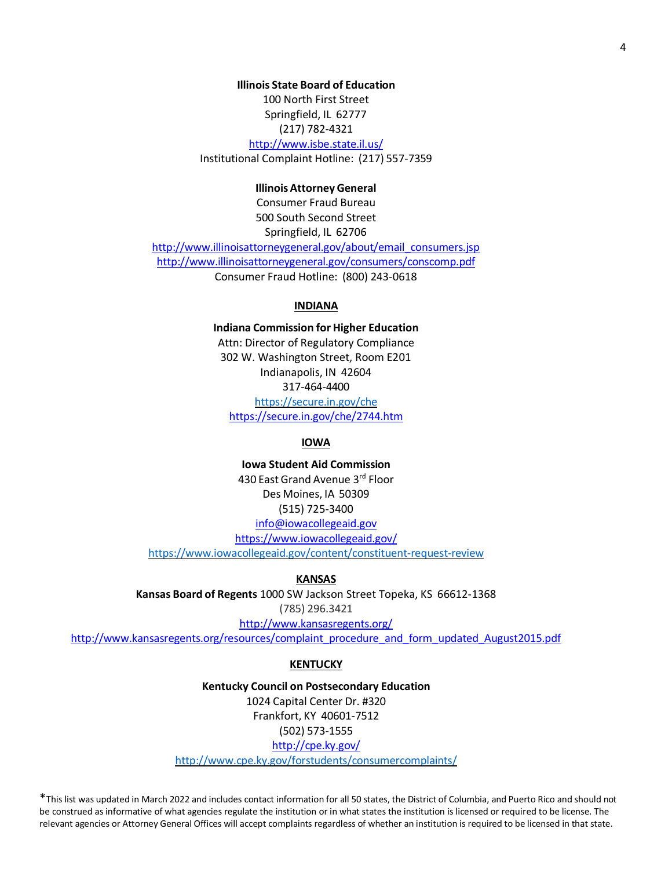# **Illinois State Board of Education**

100 North First Street Springfield, IL 62777 (217) 782-4321 <http://www.isbe.state.il.us/> Institutional Complaint Hotline: (217) 557-7359

# **IllinoisAttorney General**

Consumer Fraud Bureau 500 South Second Street Springfield, IL 62706 [http://www.illinoisattorneygeneral.gov/about/email\\_consumers.jsp](http://www.illinoisattorneygeneral.gov/about/email_consumers.jsp) <http://www.illinoisattorneygeneral.gov/consumers/conscomp.pdf> Consumer Fraud Hotline: (800) 243-0618

# **INDIANA**

**Indiana Commission for Higher Education** Attn: Director of Regulatory Compliance 302 W. Washington Street, Room E201 Indianapolis, IN 42604 317-464-4400 <https://secure.in.gov/che> https://secure.in.gov/che/2744.htm

### **IOWA**

**Iowa Student Aid Commission** 430 East Grand Avenue 3rd Floor Des Moines, IA 50309 (515) 725-3400 [info@iowacollegeaid.gov](mailto:info@iowacollegeaid.gov) <https://www.iowacollegeaid.gov/> <https://www.iowacollegeaid.gov/content/constituent-request-review>

#### **KANSAS**

**Kansas Board of Regents** 1000 SW Jackson Street Topeka, KS 66612-1368 (785) 296.3421 <http://www.kansasregents.org/>

[http://www.kansasregents.org/resources/complaint\\_procedure\\_and\\_form\\_updated\\_August2015.pdf](http://www.kansasregents.org/resources/complaint_procedure_and_form_updated_August2015.pdf)

#### **KENTUCKY**

**Kentucky Council on Postsecondary Education** 1024 Capital Center Dr. #320 Frankfort, KY 40601-7512 (502) 573-1555 <http://cpe.ky.gov/> <http://www.cpe.ky.gov/forstudents/consumercomplaints/>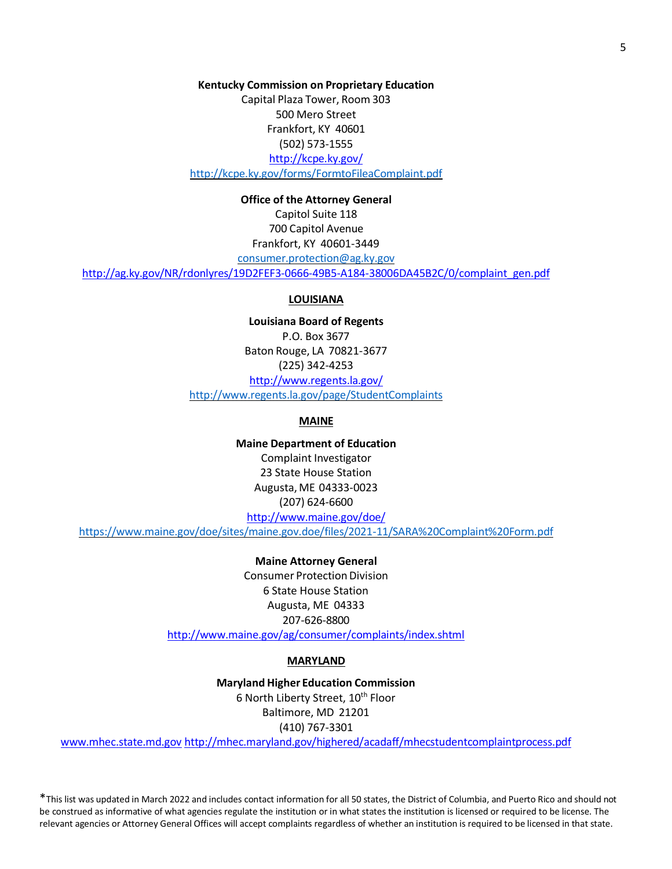**Kentucky Commission on Proprietary Education** Capital Plaza Tower, Room 303 500 Mero Street Frankfort, KY 40601 (502) 573-1555 <http://kcpe.ky.gov/> <http://kcpe.ky.gov/forms/FormtoFileaComplaint.pdf>

# **Office of the Attorney General**

Capitol Suite 118 700 Capitol Avenue Frankfort, KY 40601-3449 [consumer.protection@ag.ky.gov](mailto:consumer.protection@ag.ky.gov) [http://ag.ky.gov/NR/rdonlyres/19D2FEF3-0666-49B5-A184-38006DA45B2C/0/complaint\\_gen.pdf](http://ag.ky.gov/NR/rdonlyres/19D2FEF3-0666-49B5-A184-38006DA45B2C/0/complaint_gen.pdf)

### **LOUISIANA**

**Louisiana Board of Regents** P.O. Box 3677 Baton Rouge, LA 70821-3677 (225) 342-4253 <http://www.regents.la.gov/> <http://www.regents.la.gov/page/StudentComplaints>

# **MAINE**

**Maine Department of Education** Complaint Investigator 23 State House Station Augusta, ME 04333-0023 (207) 624-6600 <http://www.maine.gov/doe/>

<https://www.maine.gov/doe/sites/maine.gov.doe/files/2021-11/SARA%20Complaint%20Form.pdf>

**Maine Attorney General** Consumer Protection Division 6 State House Station Augusta, ME 04333 207-626-8800 <http://www.maine.gov/ag/consumer/complaints/index.shtml>

#### **MARYLAND**

**Maryland Higher Education Commission** 6 North Liberty Street, 10<sup>th</sup> Floor Baltimore, MD 21201 (410) 767-3301

[www.mhec.state.md.gov](http://www.mhec.state.md.gov/) <http://mhec.maryland.gov/highered/acadaff/mhecstudentcomplaintprocess.pdf>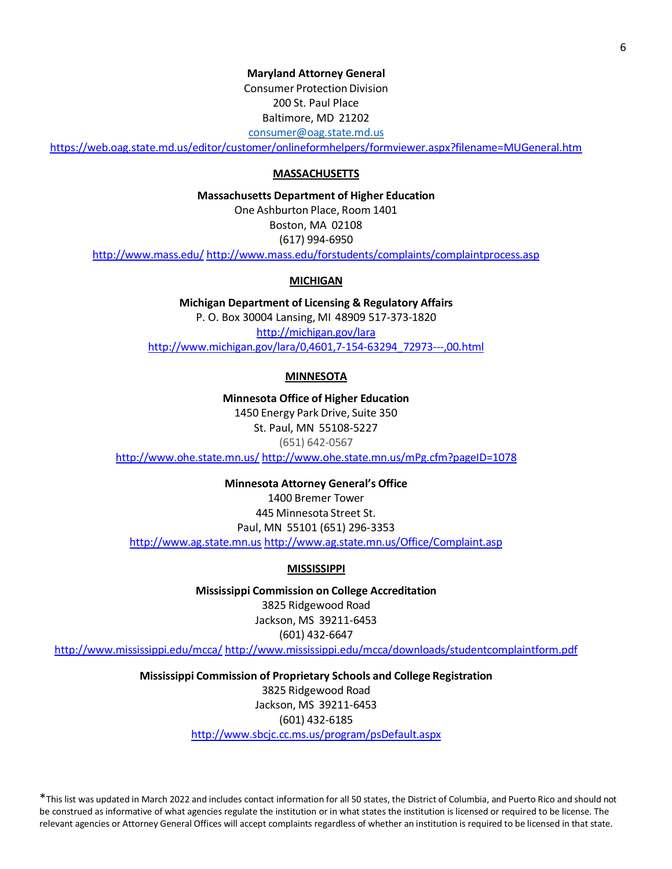# **Maryland Attorney General**

**Consumer Protection Division** 200 St. Paul Place Baltimore, MD 21202 [consumer@oag.state.md.us](mailto:consumer@oag.state.md.us)

<https://web.oag.state.md.us/editor/customer/onlineformhelpers/formviewer.aspx?filename=MUGeneral.htm>

# **MASSACHUSETTS**

**Massachusetts Department of Higher Education**

One Ashburton Place, Room 1401

Boston, MA 02108 (617) 994-6950

<http://www.mass.edu/> <http://www.mass.edu/forstudents/complaints/complaintprocess.asp>

# **MICHIGAN**

**Michigan Department of Licensing & Regulatory Affairs** P. O. Box 30004 Lansing, MI 48909 517-373-1820 <http://michigan.gov/lara> [http://www.michigan.gov/lara/0,4601,7-154-63294\\_72973---,00.html](http://www.michigan.gov/lara/0%2C4601%2C7-154-63294_72973---%2C00.html)

# **MINNESOTA**

**Minnesota Office of Higher Education** 1450 Energy Park Drive, Suite 350 St. Paul, MN 55108-5227 (651) 642-0567 <http://www.ohe.state.mn.us/> <http://www.ohe.state.mn.us/mPg.cfm?pageID=1078>

**Minnesota Attorney General's Office** 1400 Bremer Tower 445 Minnesota Street St. Paul, MN 55101 (651) 296-3353 [http://www.ag.state.mn.us](http://www.ag.state.mn.us/) <http://www.ag.state.mn.us/Office/Complaint.asp>

# **MISSISSIPPI**

**Mississippi Commission on College Accreditation** 3825 Ridgewood Road Jackson, MS 39211-6453 (601) 432-6647

<http://www.mississippi.edu/mcca/> <http://www.mississippi.edu/mcca/downloads/studentcomplaintform.pdf>

**Mississippi Commission of Proprietary Schools and College Registration** 3825 Ridgewood Road Jackson, MS 39211-6453 (601) 432-6185 <http://www.sbcjc.cc.ms.us/program/psDefault.aspx>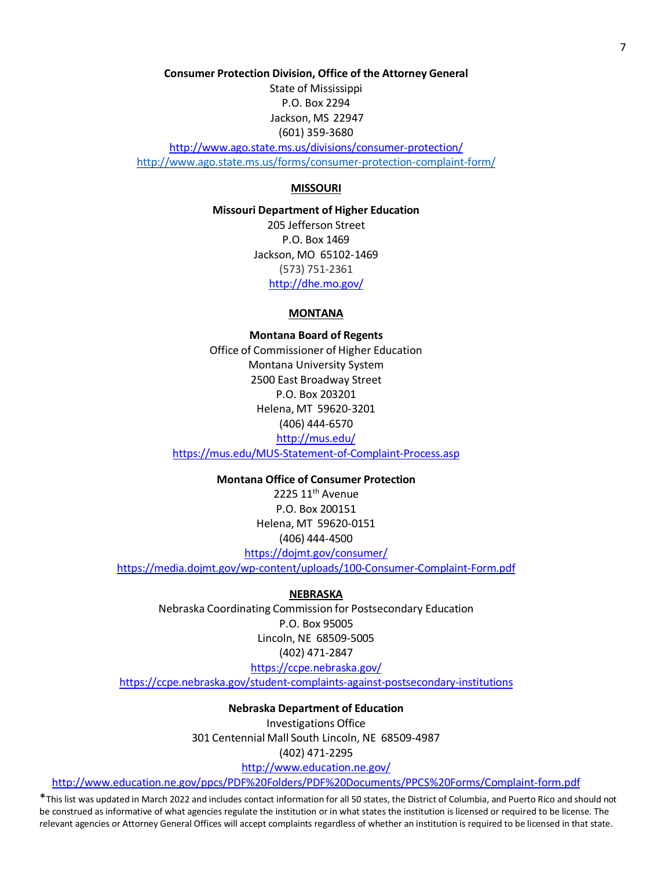**Consumer Protection Division, Office of the Attorney General**

State of Mississippi P.O. Box 2294 Jackson, MS 22947 (601) 359-3680

<http://www.ago.state.ms.us/divisions/consumer-protection/> <http://www.ago.state.ms.us/forms/consumer-protection-complaint-form/>

# **MISSOURI**

**Missouri Department of Higher Education** 205 Jefferson Street P.O. Box 1469 Jackson, MO 65102-1469 (573) 751-2361 <http://dhe.mo.gov/>

# **MONTANA**

**Montana Board of Regents** Office of Commissioner of Higher Education Montana University System 2500 East Broadway Street P.O. Box 203201 Helena, MT 59620-3201 (406) 444-6570 <http://mus.edu/>

<https://mus.edu/MUS-Statement-of-Complaint-Process.asp>

**Montana Office of Consumer Protection**

2225 11<sup>th</sup> Avenue P.O. Box 200151 Helena, MT 59620-0151 (406) 444-4500 <https://dojmt.gov/consumer/>

<https://media.dojmt.gov/wp-content/uploads/100-Consumer-Complaint-Form.pdf>

### **NEBRASKA**

Nebraska Coordinating Commission for Postsecondary Education P.O. Box 95005 Lincoln, NE 68509-5005 (402) 471-2847

<https://ccpe.nebraska.gov/>

<https://ccpe.nebraska.gov/student-complaints-against-postsecondary-institutions>

### **Nebraska Department of Education**

Investigations Office 301 Centennial Mall South Lincoln, NE 68509-4987 (402) 471-2295

<http://www.education.ne.gov/>

<http://www.education.ne.gov/ppcs/PDF%20Folders/PDF%20Documents/PPCS%20Forms/Complaint-form.pdf>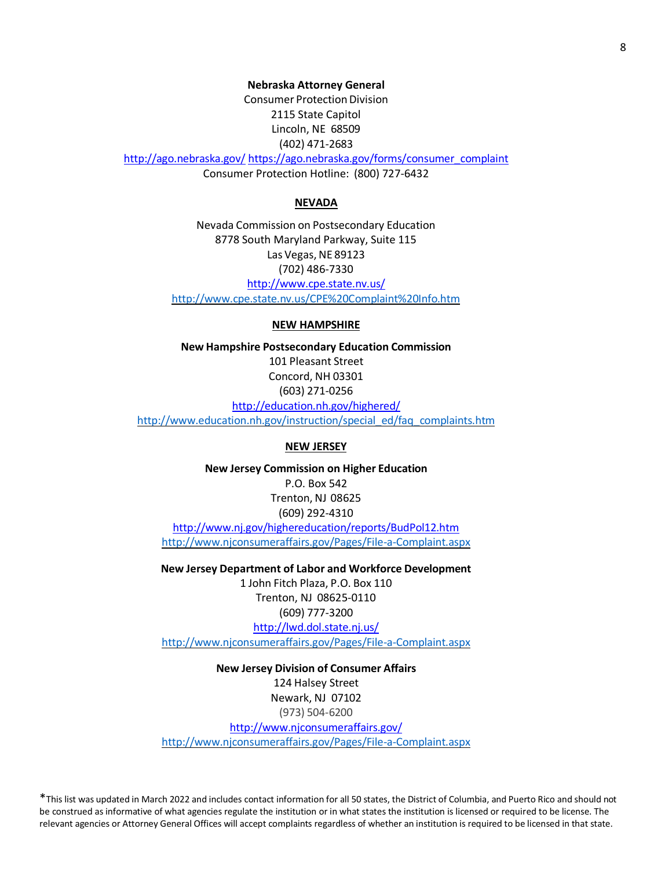**Nebraska Attorney General Consumer Protection Division** 2115 State Capitol Lincoln, NE 68509 (402) 471-2683 <http://ago.nebraska.gov/> [https://ago.nebraska.gov/forms/consumer\\_complaint](https://ago.nebraska.gov/forms/consumer_complaint) Consumer Protection Hotline: (800) 727-6432

#### **NEVADA**

Nevada Commission on Postsecondary Education 8778 South Maryland Parkway, Suite 115 Las Vegas, NE 89123 (702) 486-7330 <http://www.cpe.state.nv.us/> <http://www.cpe.state.nv.us/CPE%20Complaint%20Info.htm>

#### **NEW HAMPSHIRE**

**New Hampshire Postsecondary Education Commission** 101 Pleasant Street Concord, NH 03301 (603) 271-0256 <http://education.nh.gov/highered/>

[http://www.education.nh.gov/instruction/special\\_ed/faq\\_complaints.htm](http://www.education.nh.gov/instruction/special_ed/faq_complaints.htm)

# **NEW JERSEY**

**New Jersey Commission on Higher Education** P.O. Box 542 Trenton, NJ 08625 (609) 292-4310 <http://www.nj.gov/highereducation/reports/BudPol12.htm> <http://www.njconsumeraffairs.gov/Pages/File-a-Complaint.aspx>

**New Jersey Department of Labor and Workforce Development** 1 John Fitch Plaza, P.O. Box 110 Trenton, NJ 08625-0110 (609) 777-3200 <http://lwd.dol.state.nj.us/> <http://www.njconsumeraffairs.gov/Pages/File-a-Complaint.aspx>

**New Jersey Division of Consumer Affairs** 124 Halsey Street Newark, NJ 07102 (973) 504-6200 <http://www.njconsumeraffairs.gov/> <http://www.njconsumeraffairs.gov/Pages/File-a-Complaint.aspx>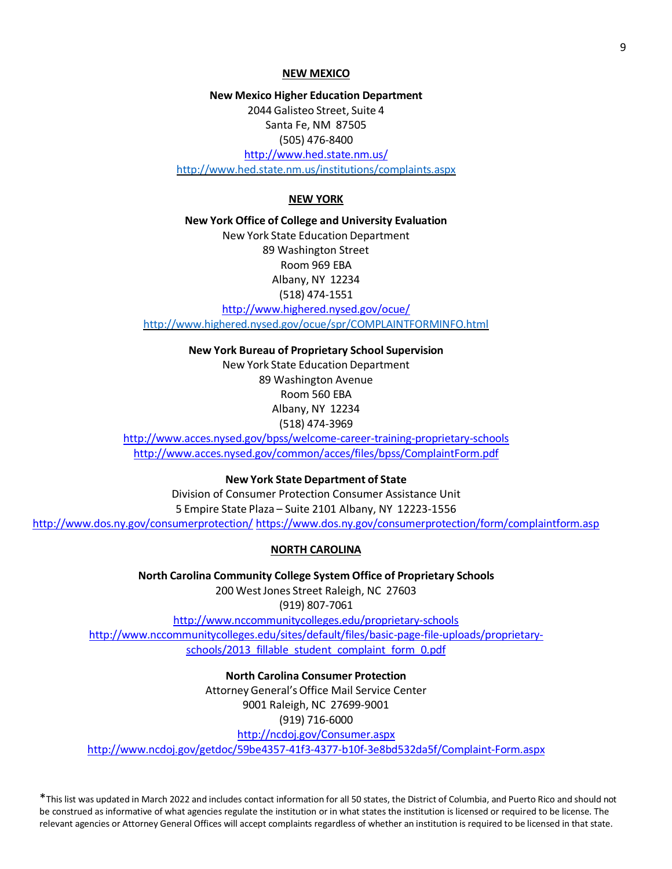#### **NEW MEXICO**

**New Mexico Higher Education Department** 2044 Galisteo Street, Suite 4 Santa Fe, NM 87505 (505) 476-8400 <http://www.hed.state.nm.us/> <http://www.hed.state.nm.us/institutions/complaints.aspx>

# **NEW YORK**

**New York Office of College and University Evaluation** New York State Education Department 89 Washington Street Room 969 EBA Albany, NY 12234 (518) 474-1551 <http://www.highered.nysed.gov/ocue/>

<http://www.highered.nysed.gov/ocue/spr/COMPLAINTFORMINFO.html>

**New York Bureau of Proprietary School Supervision** New York State Education Department 89 Washington Avenue Room 560 EBA Albany, NY 12234 (518) 474-3969

<http://www.acces.nysed.gov/bpss/welcome-career-training-proprietary-schools> <http://www.acces.nysed.gov/common/acces/files/bpss/ComplaintForm.pdf>

**New York State Department of State**

Division of Consumer Protection Consumer Assistance Unit 5 Empire State Plaza – Suite 2101 Albany, NY 12223-1556 <http://www.dos.ny.gov/consumerprotection/> <https://www.dos.ny.gov/consumerprotection/form/complaintform.asp>

#### **NORTH CAROLINA**

**North Carolina Community College System Office of Proprietary Schools** 200 WestJones Street Raleigh, NC 27603 (919) 807-7061

<http://www.nccommunitycolleges.edu/proprietary-schools> [http://www.nccommunitycolleges.edu/sites/default/files/basic-page-file-uploads/proprietary](http://www.nccommunitycolleges.edu/sites/default/files/basic-page-file-uploads/proprietary-schools/2013_fillable_student_complaint_form_0.pdf)[schools/2013\\_fillable\\_student\\_complaint\\_form\\_0.pdf](http://www.nccommunitycolleges.edu/sites/default/files/basic-page-file-uploads/proprietary-schools/2013_fillable_student_complaint_form_0.pdf)

**North Carolina Consumer Protection** Attorney General's Office Mail Service Center 9001 Raleigh, NC 27699-9001 (919) 716-6000 <http://ncdoj.gov/Consumer.aspx> <http://www.ncdoj.gov/getdoc/59be4357-41f3-4377-b10f-3e8bd532da5f/Complaint-Form.aspx>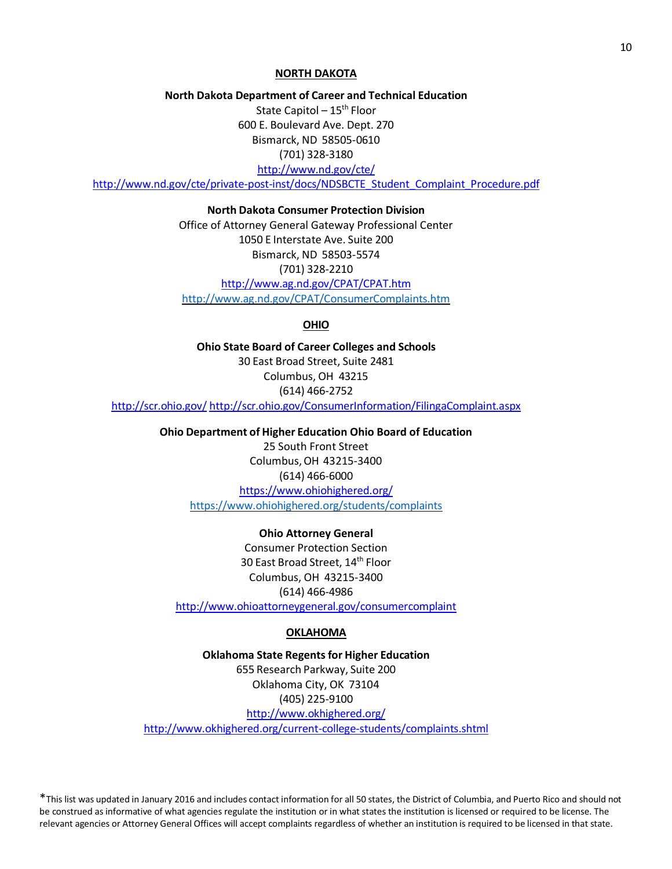### **NORTH DAKOTA**

**North Dakota Department of Career and Technical Education**

State Capitol –  $15<sup>th</sup>$  Floor 600 E. Boulevard Ave. Dept. 270 Bismarck, ND 58505-0610 (701) 328-3180

<http://www.nd.gov/cte/>

[http://www.nd.gov/cte/private-post-inst/docs/NDSBCTE\\_Student\\_Complaint\\_Procedure.pdf](http://www.nd.gov/cte/private-post-inst/docs/NDSBCTE_Student_Complaint_Procedure.pdf)

**North Dakota Consumer Protection Division**

Office of Attorney General Gateway Professional Center 1050 E Interstate Ave. Suite 200 Bismarck, ND 58503-5574 (701) 328-2210 <http://www.ag.nd.gov/CPAT/CPAT.htm> <http://www.ag.nd.gov/CPAT/ConsumerComplaints.htm>

**OHIO**

**Ohio State Board of Career Colleges and Schools** 30 East Broad Street, Suite 2481 Columbus, OH 43215 (614) 466-2752 <http://scr.ohio.gov/> <http://scr.ohio.gov/ConsumerInformation/FilingaComplaint.aspx>

> **Ohio Department of Higher Education Ohio Board of Education** 25 South Front Street Columbus,OH 43215-3400 (614) 466-6000 <https://www.ohiohighered.org/> <https://www.ohiohighered.org/students/complaints>

**Ohio Attorney General** Consumer Protection Section 30 East Broad Street, 14th Floor Columbus, OH 43215-3400 (614) 466-4986 <http://www.ohioattorneygeneral.gov/consumercomplaint>

#### **OKLAHOMA**

**Oklahoma State Regentsfor Higher Education** 655 Research Parkway, Suite 200 Oklahoma City, OK 73104 (405) 225-9100 <http://www.okhighered.org/>

<http://www.okhighered.org/current-college-students/complaints.shtml>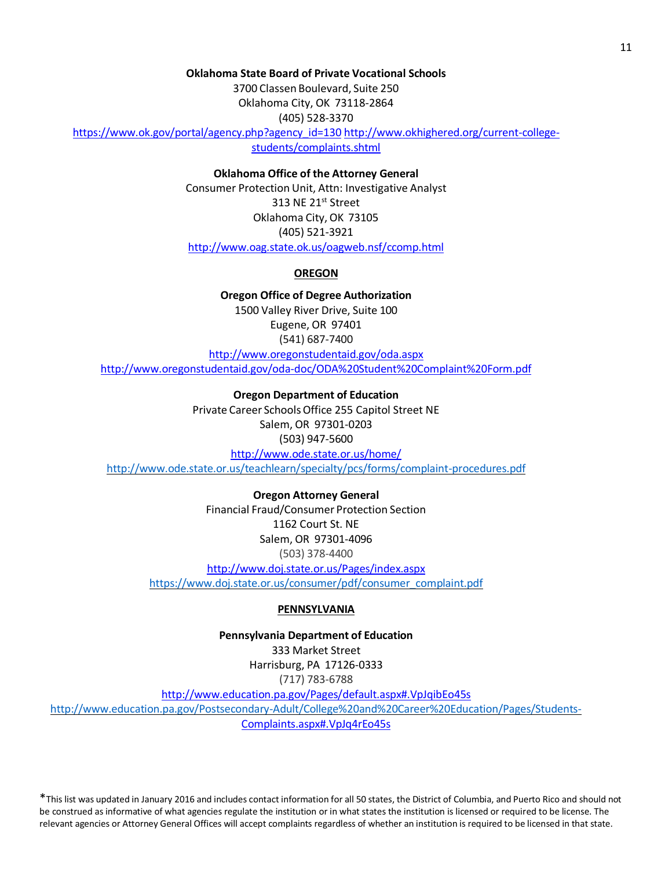# **Oklahoma State Board of Private Vocational Schools**

3700 Classen Boulevard, Suite 250 Oklahoma City, OK 73118-2864 (405) 528-3370

[https://www.ok.gov/portal/agency.php?agency\\_id=130](https://www.ok.gov/portal/agency.php?agency_id=130) [http://www.okhighered.org/current-college](http://www.okhighered.org/current-college-students/complaints.shtml)[students/complaints.shtml](http://www.okhighered.org/current-college-students/complaints.shtml)

# **Oklahoma Office of the Attorney General**

Consumer Protection Unit, Attn: Investigative Analyst 313 NE 21<sup>st</sup> Street Oklahoma City, OK 73105 (405) 521-3921 <http://www.oag.state.ok.us/oagweb.nsf/ccomp.html>

# **OREGON**

**Oregon Office of Degree Authorization** 1500 Valley River Drive, Suite 100 Eugene, OR 97401 (541) 687-7400 <http://www.oregonstudentaid.gov/oda.aspx> <http://www.oregonstudentaid.gov/oda-doc/ODA%20Student%20Complaint%20Form.pdf>

**Oregon Department of Education** Private Career Schools Office 255 Capitol Street NE Salem, OR 97301-0203 (503) 947-5600 <http://www.ode.state.or.us/home/> <http://www.ode.state.or.us/teachlearn/specialty/pcs/forms/complaint-procedures.pdf>

> **Oregon Attorney General** Financial Fraud/Consumer Protection Section 1162 Court St. NE Salem, OR 97301-4096 (503) 378-4400

<http://www.doj.state.or.us/Pages/index.aspx> [https://www.doj.state.or.us/consumer/pdf/consumer\\_complaint.pdf](https://www.doj.state.or.us/consumer/pdf/consumer_complaint.pdf)

### **PENNSYLVANIA**

**Pennsylvania Department of Education**

333 Market Street Harrisburg, PA 17126-0333 (717) 783-6788

<http://www.education.pa.gov/Pages/default.aspx#.VpJqibEo45s>

<http://www.education.pa.gov/Postsecondary-Adult/College%20and%20Career%20Education/Pages/Students->[Complaints.aspx#.VpJq4rEo45s](http://www.education.pa.gov/Postsecondary-Adult/College%20and%20Career%20Education/Pages/Students-Complaints.aspx#.VpJq4rEo45s)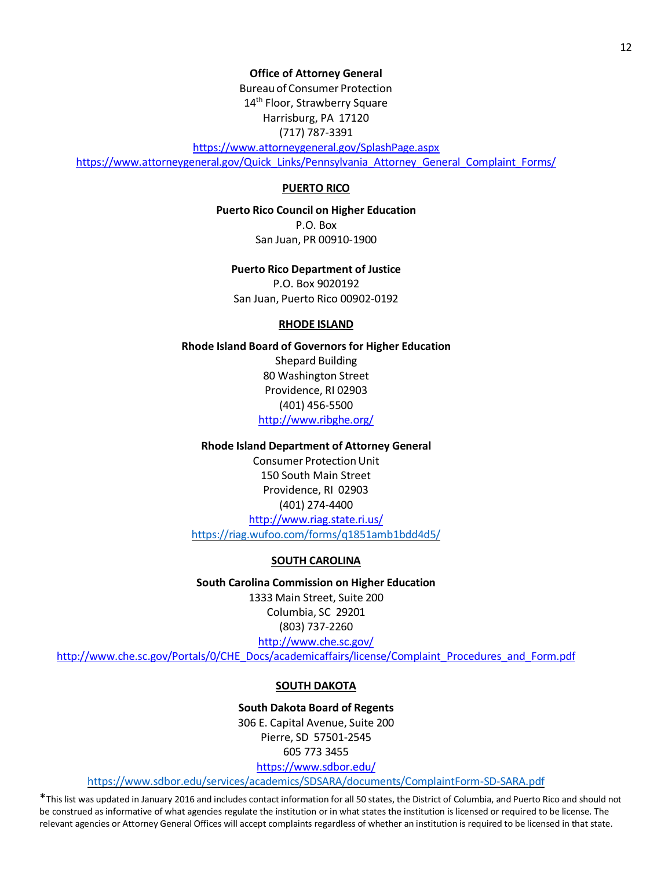**Office of Attorney General**

Bureau of Consumer Protection 14<sup>th</sup> Floor, Strawberry Square Harrisburg, PA 17120 (717) 787-3391

<https://www.attorneygeneral.gov/SplashPage.aspx> [https://www.attorneygeneral.gov/Quick\\_Links/Pennsylvania\\_Attorney\\_General\\_Complaint\\_Forms/](https://www.attorneygeneral.gov/Quick_Links/Pennsylvania_Attorney_General_Complaint_Forms/)

# **PUERTO RICO**

**Puerto Rico Council on Higher Education**

P.O. Box San Juan, PR 00910-1900

#### **Puerto Rico Department of Justice**

P.O. Box 9020192 San Juan, Puerto Rico 00902-0192

# **RHODE ISLAND**

**Rhode Island Board of Governorsfor Higher Education** Shepard Building 80 Washington Street Providence, RI 02903 (401) 456-5500 <http://www.ribghe.org/>

# **Rhode Island Department of Attorney General**

Consumer Protection Unit 150 South Main Street Providence, RI 02903 (401) 274-4400 <http://www.riag.state.ri.us/> <https://riag.wufoo.com/forms/q1851amb1bdd4d5/>

### **SOUTH CAROLINA**

**South Carolina Commission on Higher Education** 1333 Main Street, Suite 200 Columbia, SC 29201 (803) 737-2260 <http://www.che.sc.gov/>

[http://www.che.sc.gov/Portals/0/CHE\\_Docs/academicaffairs/license/Complaint\\_Procedures\\_and\\_Form.pdf](http://www.che.sc.gov/Portals/0/CHE_Docs/academicaffairs/license/Complaint_Procedures_and_Form.pdf)

### **SOUTH DAKOTA**

**South Dakota Board of Regents** 306 E. Capital Avenue, Suite 200 Pierre, SD 57501-2545 605 773 3455

<https://www.sdbor.edu/>

<https://www.sdbor.edu/services/academics/SDSARA/documents/ComplaintForm-SD-SARA.pdf>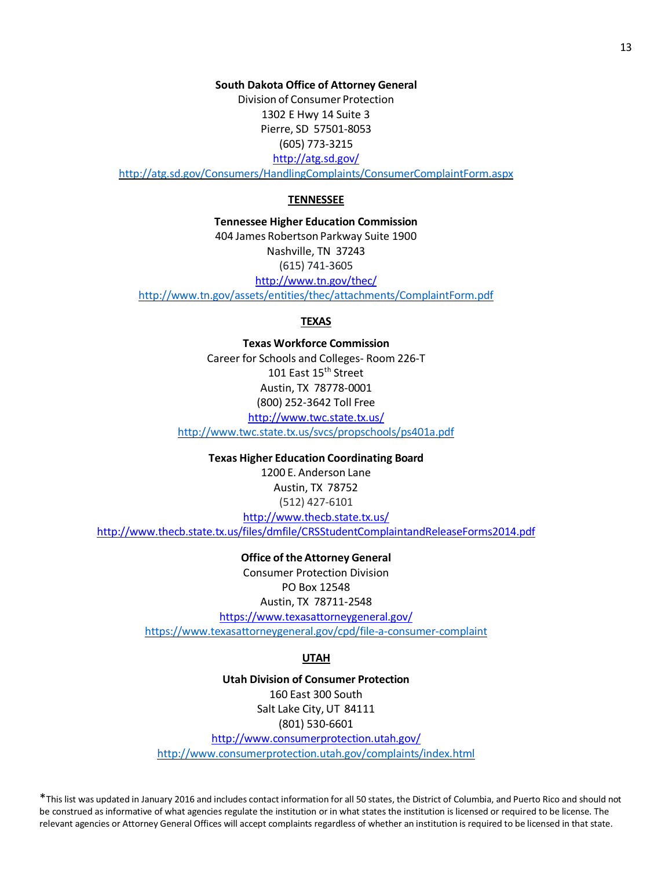**South Dakota Office of Attorney General**

Division of Consumer Protection 1302 E Hwy 14 Suite 3 Pierre, SD 57501-8053 (605) 773-3215 <http://atg.sd.gov/>

<http://atg.sd.gov/Consumers/HandlingComplaints/ConsumerComplaintForm.aspx>

# **TENNESSEE**

**Tennessee Higher Education Commission** 404 James Robertson Parkway Suite 1900 Nashville, TN 37243 (615) 741-3605 <http://www.tn.gov/thec/>

<http://www.tn.gov/assets/entities/thec/attachments/ComplaintForm.pdf>

#### **TEXAS**

**Texas Workforce Commission** Career for Schools and Colleges- Room 226-T 101 East 15<sup>th</sup> Street Austin, TX 78778-0001 (800) 252-3642 Toll Free <http://www.twc.state.tx.us/>

<http://www.twc.state.tx.us/svcs/propschools/ps401a.pdf>

**Texas Higher Education Coordinating Board** 1200 E. Anderson Lane Austin, TX 78752 (512) 427-6101 <http://www.thecb.state.tx.us/> <http://www.thecb.state.tx.us/files/dmfile/CRSStudentComplaintandReleaseForms2014.pdf>

> **Office of the Attorney General** Consumer Protection Division PO Box 12548 Austin, TX 78711-2548 <https://www.texasattorneygeneral.gov/> <https://www.texasattorneygeneral.gov/cpd/file-a-consumer-complaint>

# **UTAH**

**Utah Division of Consumer Protection** 160 East 300 South Salt Lake City, UT 84111 (801) 530-6601 <http://www.consumerprotection.utah.gov/> <http://www.consumerprotection.utah.gov/complaints/index.html>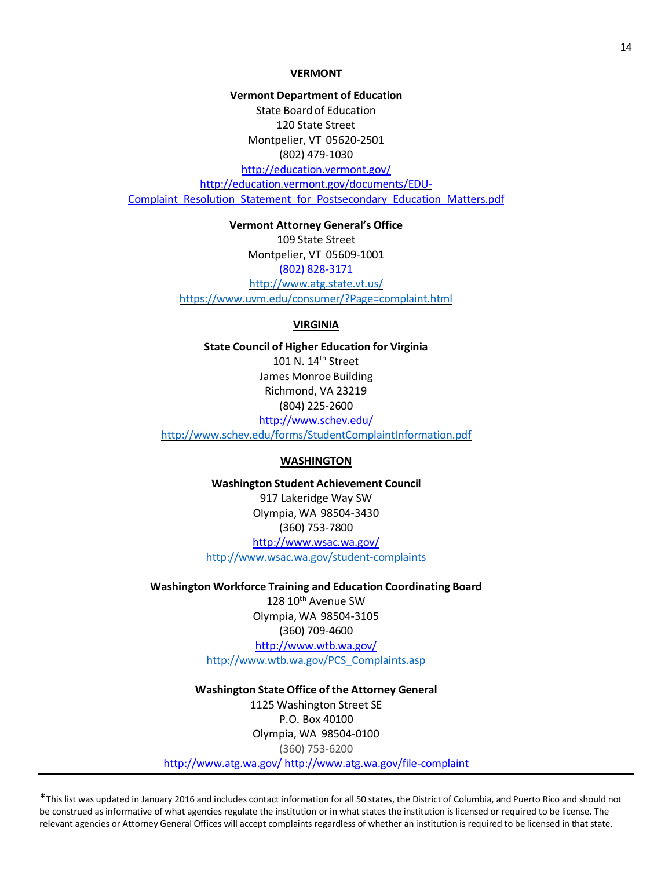#### **VERMONT**

**Vermont Department of Education** State Board of Education 120 State Street Montpelier, VT 05620-2501 (802) 479-1030 <http://education.vermont.gov/> http://education.vermont.gov/documents/EDU-[Complaint\\_Resolution\\_Statement\\_for\\_Postsecondary\\_Education\\_Matters.pdf](http://education.vermont.gov/documents/EDU-Complaint_Resolution_Statement_for_Postsecondary_Education_Matters.pdf)

> **Vermont Attorney General's Office** 109 State Street Montpelier, VT 05609-1001 (802) 828-3171 <http://www.atg.state.vt.us/> <https://www.uvm.edu/consumer/?Page=complaint.html>

# **VIRGINIA**

**State Council of Higher Education for Virginia** 101 N. 14<sup>th</sup> Street James Monroe Building Richmond, VA 23219 (804) 225-2600 <http://www.schev.edu/>

<http://www.schev.edu/forms/StudentComplaintInformation.pdf>

# **WASHINGTON**

**Washington Student Achievement Council** 917 Lakeridge Way SW Olympia,WA 98504-3430 (360) 753-7800 <http://www.wsac.wa.gov/> <http://www.wsac.wa.gov/student-complaints>

# **Washington Workforce Training and Education Coordinating Board**

128 10<sup>th</sup> Avenue SW Olympia,WA 98504-3105 (360) 709-4600 <http://www.wtb.wa.gov/> [http://www.wtb.wa.gov/PCS\\_Complaints.asp](http://www.wtb.wa.gov/PCS_Complaints.asp)

# **Washington State Office of the Attorney General**

1125 Washington Street SE P.O. Box 40100 Olympia, WA 98504-0100 (360) 753-6200 <http://www.atg.wa.gov/> <http://www.atg.wa.gov/file-complaint>